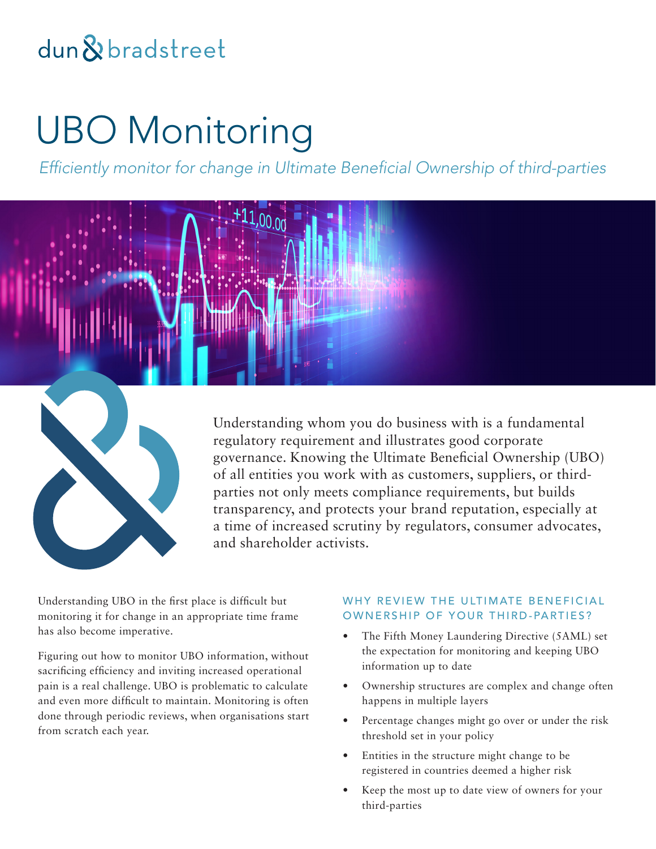# dun & bradstreet

# UBO Monitoring

*Efficiently monitor for change in Ultimate Beneficial Ownership of third-parties*





Understanding whom you do business with is a fundamental regulatory requirement and illustrates good corporate governance. Knowing the Ultimate Beneficial Ownership (UBO) of all entities you work with as customers, suppliers, or thirdparties not only meets compliance requirements, but builds transparency, and protects your brand reputation, especially at a time of increased scrutiny by regulators, consumer advocates, and shareholder activists.

Understanding UBO in the first place is difficult but monitoring it for change in an appropriate time frame has also become imperative.

Figuring out how to monitor UBO information, without sacrificing efficiency and inviting increased operational pain is a real challenge. UBO is problematic to calculate and even more difficult to maintain. Monitoring is often done through periodic reviews, when organisations start from scratch each year.

# WHY REVIEW THE ULTIMATE BENEFICIAL OWNERSHIP OF YOUR THIRD-PARTIES?

- The Fifth Money Laundering Directive (5AML) set the expectation for monitoring and keeping UBO information up to date
- Ownership structures are complex and change often happens in multiple layers
- Percentage changes might go over or under the risk threshold set in your policy
- Entities in the structure might change to be registered in countries deemed a higher risk
- Keep the most up to date view of owners for your third-parties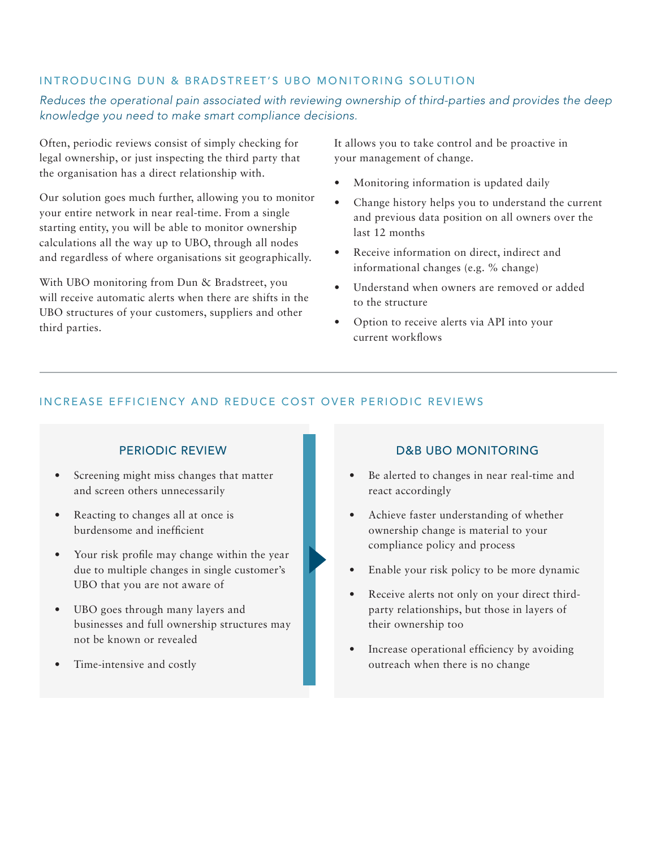### INTRODUCING DUN & BRADSTREET'S UBO MONITORING SOLUTION

# *Reduces the operational pain associated with reviewing ownership of third-parties and provides the deep knowledge you need to make smart compliance decisions.*

Often, periodic reviews consist of simply checking for legal ownership, or just inspecting the third party that the organisation has a direct relationship with.

Our solution goes much further, allowing you to monitor your entire network in near real-time. From a single starting entity, you will be able to monitor ownership calculations all the way up to UBO, through all nodes and regardless of where organisations sit geographically.

With UBO monitoring from Dun & Bradstreet, you will receive automatic alerts when there are shifts in the UBO structures of your customers, suppliers and other third parties.

It allows you to take control and be proactive in your management of change.

- Monitoring information is updated daily
- Change history helps you to understand the current and previous data position on all owners over the last 12 months
- Receive information on direct, indirect and informational changes (e.g. % change)
- Understand when owners are removed or added to the structure
- Option to receive alerts via API into your current workflows

# INCREASE EFFICIENCY AND REDUCE COST OVER PERIODIC REVIEWS

#### PERIODIC REVIEW

- Screening might miss changes that matter and screen others unnecessarily
- Reacting to changes all at once is burdensome and inefficient
- Your risk profile may change within the year due to multiple changes in single customer's UBO that you are not aware of
- UBO goes through many layers and businesses and full ownership structures may not be known or revealed
- Time-intensive and costly

#### D&B UBO MONITORING

- Be alerted to changes in near real-time and react accordingly
- Achieve faster understanding of whether ownership change is material to your compliance policy and process
- Enable your risk policy to be more dynamic
- Receive alerts not only on your direct thirdparty relationships, but those in layers of their ownership too
- Increase operational efficiency by avoiding outreach when there is no change